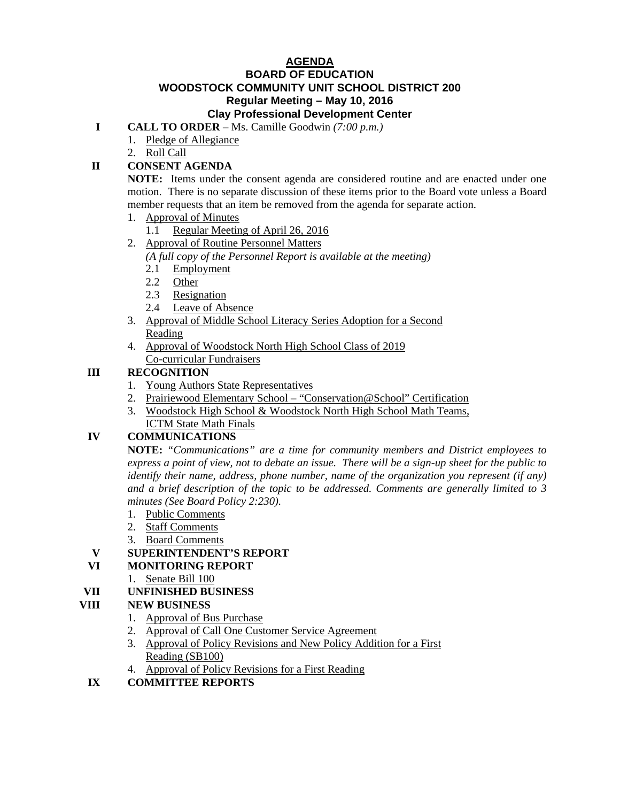#### **AGENDA BOARD OF EDUCATION WOODSTOCK COMMUNITY UNIT SCHOOL DISTRICT 200 Regular Meeting – May 10, 2016 Clay Professional Development Center**

#### **I CALL TO ORDER** – Ms. Camille Goodwin *(7:00 p.m.)*

- 1. Pledge of Allegiance
- 2. Roll Call

# **II CONSENT AGENDA**

 **NOTE:** Items under the consent agenda are considered routine and are enacted under one motion. There is no separate discussion of these items prior to the Board vote unless a Board member requests that an item be removed from the agenda for separate action.

- 1. Approval of Minutes
	- 1.1 Regular Meeting of April 26, 2016
- 2. Approval of Routine Personnel Matters *(A full copy of the Personnel Report is available at the meeting)*
	- 2.1 Employment
	- 2.2 Other
	- 2.3 Resignation
	- 2.4 Leave of Absence
- 3. Approval of Middle School Literacy Series Adoption for a Second Reading
- 4. Approval of Woodstock North High School Class of 2019 Co-curricular Fundraisers

## **III RECOGNITION**

- 1. Young Authors State Representatives
- 2. Prairiewood Elementary School "Conservation@School" Certification
- 3. Woodstock High School & Woodstock North High School Math Teams, ICTM State Math Finals

## **IV COMMUNICATIONS**

 **NOTE:** *"Communications" are a time for community members and District employees to express a point of view, not to debate an issue. There will be a sign-up sheet for the public to identify their name, address, phone number, name of the organization you represent (if any) and a brief description of the topic to be addressed. Comments are generally limited to 3 minutes (See Board Policy 2:230).* 

- 1. Public Comments
- 2. Staff Comments
- 3. Board Comments

## **V SUPERINTENDENT'S REPORT**

- **VI MONITORING REPORT** 
	- 1. Senate Bill 100

## **VII UNFINISHED BUSINESS**

## **VIII NEW BUSINESS**

- 1. Approval of Bus Purchase
- 2. Approval of Call One Customer Service Agreement
- 3. Approval of Policy Revisions and New Policy Addition for a First Reading (SB100)
- 4. Approval of Policy Revisions for a First Reading
- **IX COMMITTEE REPORTS**